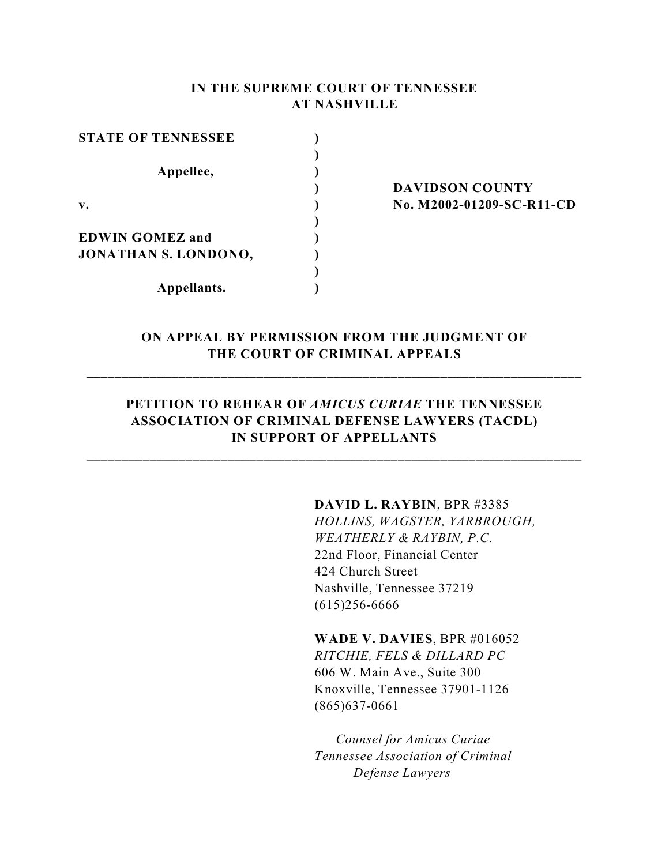### **IN THE SUPREME COURT OF TENNESSEE AT NASHVILLE**

| <b>STATE OF TENNESSEE</b>   |  |
|-----------------------------|--|
|                             |  |
| Appellee,                   |  |
|                             |  |
| $\mathbf{v}$ .              |  |
|                             |  |
| <b>EDWIN GOMEZ and</b>      |  |
| <b>JONATHAN S. LONDONO,</b> |  |
|                             |  |
| Appellants.                 |  |

**) DAVIDSON COUNTY v. ) No. M2002-01209-SC-R11-CD**

# **ON APPEAL BY PERMISSION FROM THE JUDGMENT OF THE COURT OF CRIMINAL APPEALS**

**\_\_\_\_\_\_\_\_\_\_\_\_\_\_\_\_\_\_\_\_\_\_\_\_\_\_\_\_\_\_\_\_\_\_\_\_\_\_\_\_\_\_\_\_\_\_\_\_\_\_\_\_\_\_\_\_\_\_\_\_\_\_\_\_\_\_\_\_\_\_**

## **PETITION TO REHEAR OF** *AMICUS CURIAE* **THE TENNESSEE ASSOCIATION OF CRIMINAL DEFENSE LAWYERS (TACDL) IN SUPPORT OF APPELLANTS**

**\_\_\_\_\_\_\_\_\_\_\_\_\_\_\_\_\_\_\_\_\_\_\_\_\_\_\_\_\_\_\_\_\_\_\_\_\_\_\_\_\_\_\_\_\_\_\_\_\_\_\_\_\_\_\_\_\_\_\_\_\_\_\_\_\_\_\_\_\_\_**

### **DAVID L. RAYBIN**, BPR #3385

*HOLLINS, WAGSTER, YARBROUGH, WEATHERLY & RAYBIN, P.C.* 22nd Floor, Financial Center 424 Church Street Nashville, Tennessee 37219 (615)256-6666

**WADE V. DAVIES**, BPR #016052 *RITCHIE, FELS & DILLARD PC* 606 W. Main Ave., Suite 300

Knoxville, Tennessee 37901-1126 (865)637-0661

 *Counsel for Amicus Curiae Tennessee Association of Criminal Defense Lawyers*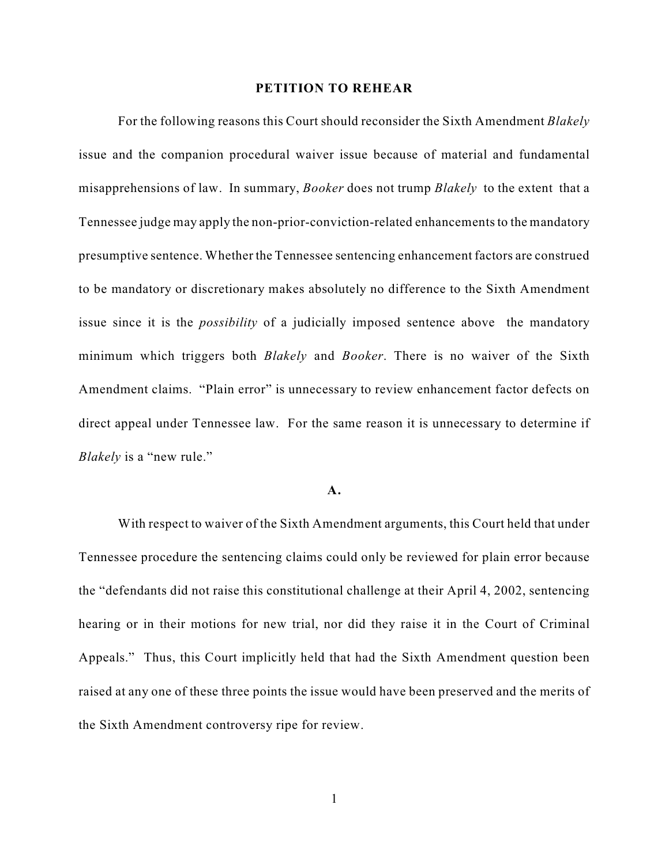#### **PETITION TO REHEAR**

For the following reasons this Court should reconsider the Sixth Amendment *Blakely* issue and the companion procedural waiver issue because of material and fundamental misapprehensions of law. In summary, *Booker* does not trump *Blakely* to the extent that a Tennessee judge may apply the non-prior-conviction-related enhancements to the mandatory presumptive sentence. Whether the Tennessee sentencing enhancement factors are construed to be mandatory or discretionary makes absolutely no difference to the Sixth Amendment issue since it is the *possibility* of a judicially imposed sentence above the mandatory minimum which triggers both *Blakely* and *Booker*. There is no waiver of the Sixth Amendment claims. "Plain error" is unnecessary to review enhancement factor defects on direct appeal under Tennessee law. For the same reason it is unnecessary to determine if *Blakely* is a "new rule."

#### **A.**

With respect to waiver of the Sixth Amendment arguments, this Court held that under Tennessee procedure the sentencing claims could only be reviewed for plain error because the "defendants did not raise this constitutional challenge at their April 4, 2002, sentencing hearing or in their motions for new trial, nor did they raise it in the Court of Criminal Appeals." Thus, this Court implicitly held that had the Sixth Amendment question been raised at any one of these three points the issue would have been preserved and the merits of the Sixth Amendment controversy ripe for review.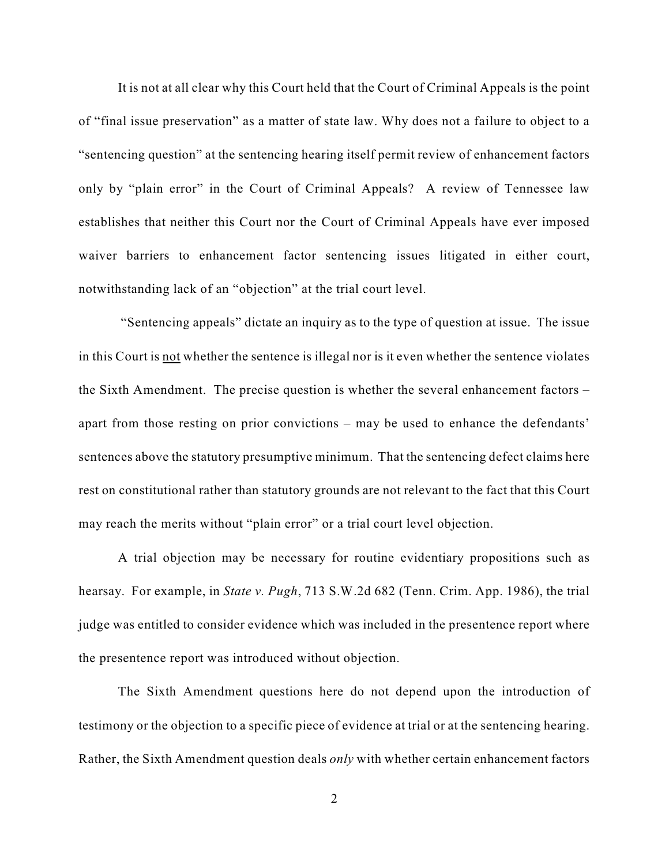It is not at all clear why this Court held that the Court of Criminal Appeals is the point of "final issue preservation" as a matter of state law. Why does not a failure to object to a "sentencing question" at the sentencing hearing itself permit review of enhancement factors only by "plain error" in the Court of Criminal Appeals? A review of Tennessee law establishes that neither this Court nor the Court of Criminal Appeals have ever imposed waiver barriers to enhancement factor sentencing issues litigated in either court, notwithstanding lack of an "objection" at the trial court level.

 "Sentencing appeals" dictate an inquiry as to the type of question at issue. The issue in this Court is not whether the sentence is illegal nor is it even whether the sentence violates the Sixth Amendment. The precise question is whether the several enhancement factors – apart from those resting on prior convictions – may be used to enhance the defendants' sentences above the statutory presumptive minimum. That the sentencing defect claims here rest on constitutional rather than statutory grounds are not relevant to the fact that this Court may reach the merits without "plain error" or a trial court level objection.

A trial objection may be necessary for routine evidentiary propositions such as hearsay. For example, in *State v. Pugh*, 713 S.W.2d 682 (Tenn. Crim. App. 1986), the trial judge was entitled to consider evidence which was included in the presentence report where the presentence report was introduced without objection.

The Sixth Amendment questions here do not depend upon the introduction of testimony or the objection to a specific piece of evidence at trial or at the sentencing hearing. Rather, the Sixth Amendment question deals *only* with whether certain enhancement factors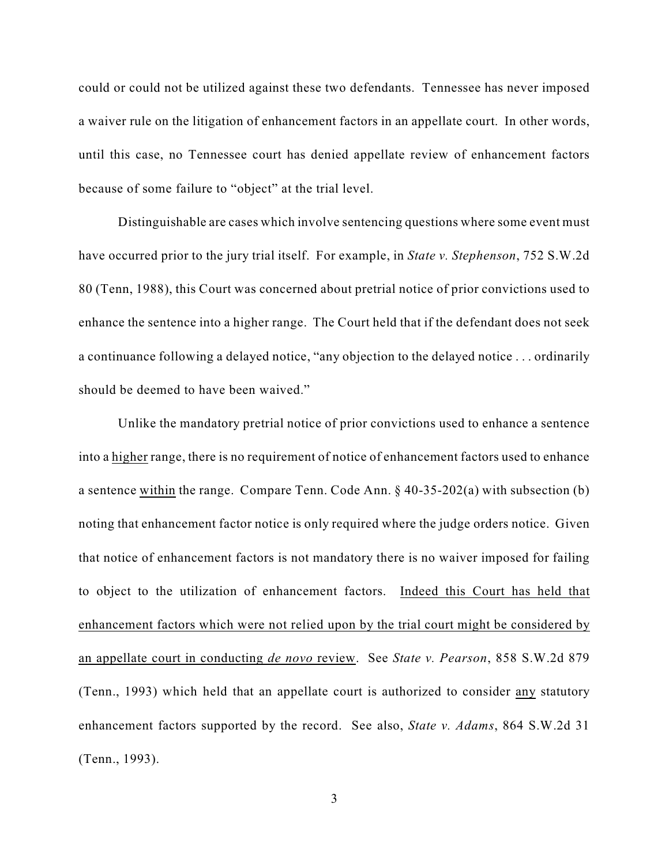could or could not be utilized against these two defendants. Tennessee has never imposed a waiver rule on the litigation of enhancement factors in an appellate court. In other words, until this case, no Tennessee court has denied appellate review of enhancement factors because of some failure to "object" at the trial level.

Distinguishable are cases which involve sentencing questions where some event must have occurred prior to the jury trial itself. For example, in *State v. Stephenson*, 752 S.W.2d 80 (Tenn, 1988), this Court was concerned about pretrial notice of prior convictions used to enhance the sentence into a higher range. The Court held that if the defendant does not seek a continuance following a delayed notice, "any objection to the delayed notice . . . ordinarily should be deemed to have been waived."

Unlike the mandatory pretrial notice of prior convictions used to enhance a sentence into a higher range, there is no requirement of notice of enhancement factors used to enhance a sentence within the range. Compare Tenn. Code Ann.  $\S$  40-35-202(a) with subsection (b) noting that enhancement factor notice is only required where the judge orders notice. Given that notice of enhancement factors is not mandatory there is no waiver imposed for failing to object to the utilization of enhancement factors. Indeed this Court has held that enhancement factors which were not relied upon by the trial court might be considered by an appellate court in conducting *de novo* review. See *State v. Pearson*, 858 S.W.2d 879 (Tenn., 1993) which held that an appellate court is authorized to consider any statutory enhancement factors supported by the record. See also, *State v. Adams*, 864 S.W.2d 31 (Tenn., 1993).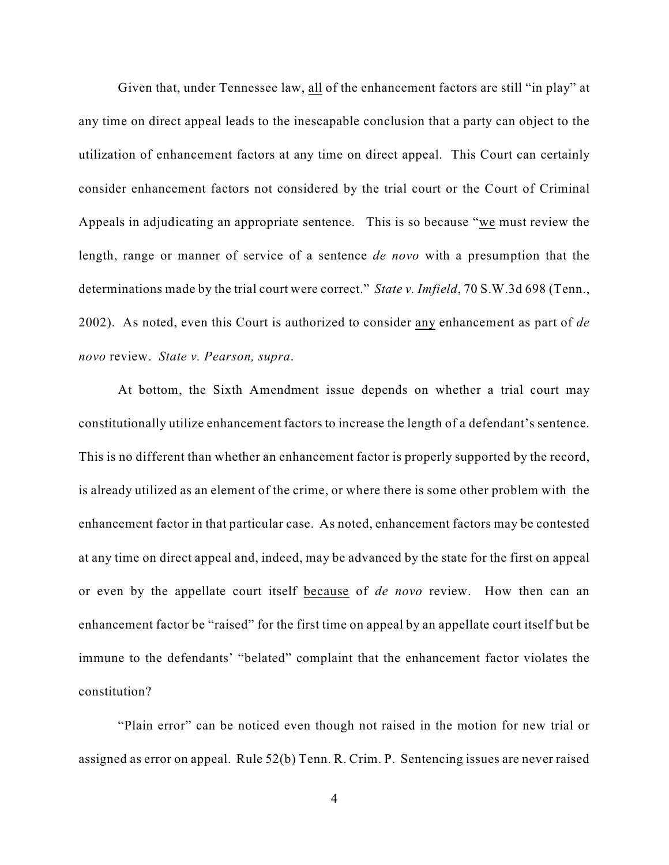Given that, under Tennessee law, all of the enhancement factors are still "in play" at any time on direct appeal leads to the inescapable conclusion that a party can object to the utilization of enhancement factors at any time on direct appeal. This Court can certainly consider enhancement factors not considered by the trial court or the Court of Criminal Appeals in adjudicating an appropriate sentence. This is so because "we must review the length, range or manner of service of a sentence *de novo* with a presumption that the determinations made by the trial court were correct." *State v. Imfield*, 70 S.W.3d 698 (Tenn., 2002). As noted, even this Court is authorized to consider any enhancement as part of *de novo* review. *State v. Pearson, supra*.

At bottom, the Sixth Amendment issue depends on whether a trial court may constitutionally utilize enhancement factors to increase the length of a defendant's sentence. This is no different than whether an enhancement factor is properly supported by the record, is already utilized as an element of the crime, or where there is some other problem with the enhancement factor in that particular case. As noted, enhancement factors may be contested at any time on direct appeal and, indeed, may be advanced by the state for the first on appeal or even by the appellate court itself because of *de novo* review. How then can an enhancement factor be "raised" for the first time on appeal by an appellate court itself but be immune to the defendants' "belated" complaint that the enhancement factor violates the constitution?

"Plain error" can be noticed even though not raised in the motion for new trial or assigned as error on appeal. Rule 52(b) Tenn. R. Crim. P. Sentencing issues are never raised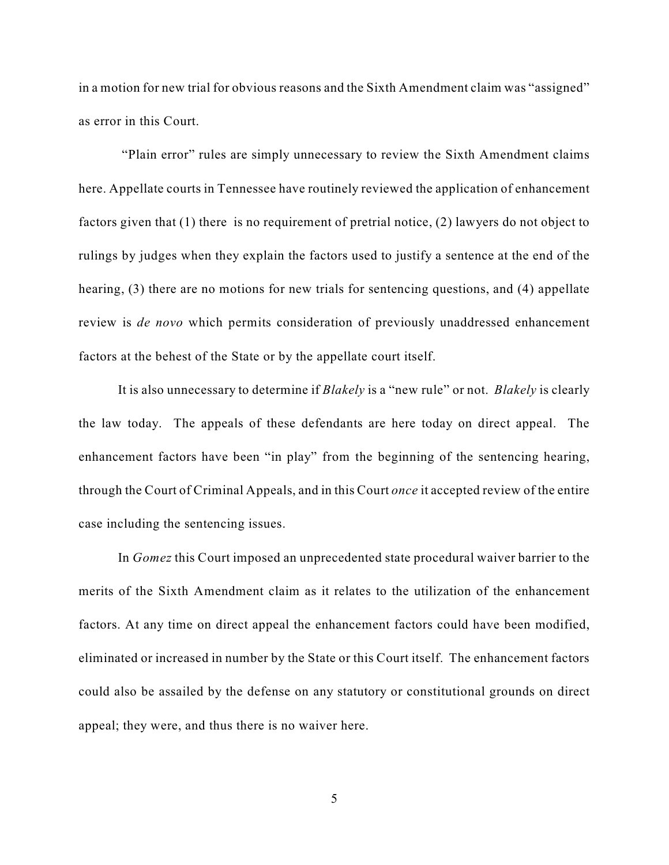in a motion for new trial for obvious reasons and the Sixth Amendment claim was "assigned" as error in this Court.

 "Plain error" rules are simply unnecessary to review the Sixth Amendment claims here. Appellate courts in Tennessee have routinely reviewed the application of enhancement factors given that (1) there is no requirement of pretrial notice, (2) lawyers do not object to rulings by judges when they explain the factors used to justify a sentence at the end of the hearing, (3) there are no motions for new trials for sentencing questions, and (4) appellate review is *de novo* which permits consideration of previously unaddressed enhancement factors at the behest of the State or by the appellate court itself.

It is also unnecessary to determine if *Blakely* is a "new rule" or not. *Blakely* is clearly the law today. The appeals of these defendants are here today on direct appeal. The enhancement factors have been "in play" from the beginning of the sentencing hearing, through the Court of Criminal Appeals, and in this Court *once* it accepted review of the entire case including the sentencing issues.

In *Gomez* this Court imposed an unprecedented state procedural waiver barrier to the merits of the Sixth Amendment claim as it relates to the utilization of the enhancement factors. At any time on direct appeal the enhancement factors could have been modified, eliminated or increased in number by the State or this Court itself. The enhancement factors could also be assailed by the defense on any statutory or constitutional grounds on direct appeal; they were, and thus there is no waiver here.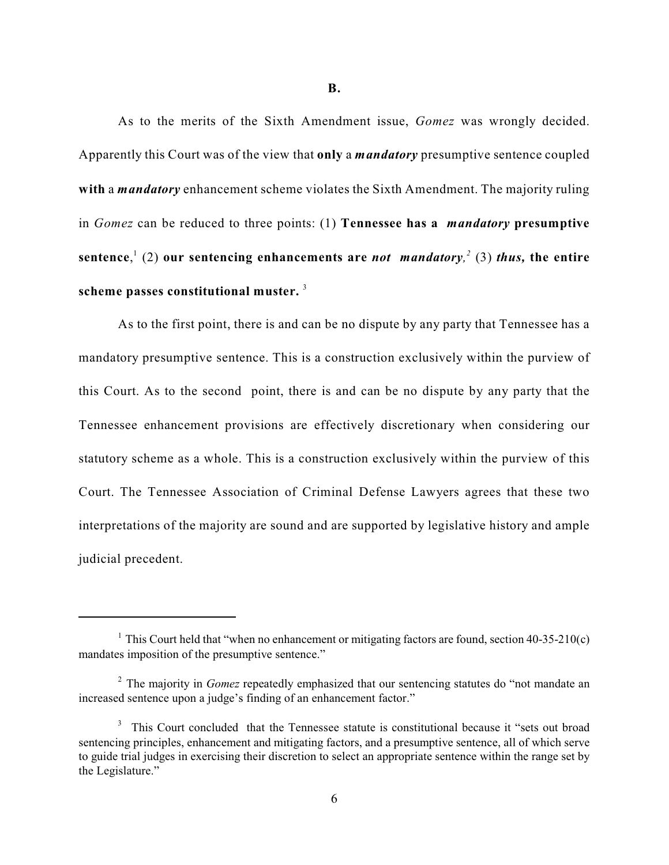As to the merits of the Sixth Amendment issue, *Gomez* was wrongly decided. Apparently this Court was of the view that **only** a *mandatory* presumptive sentence coupled **with** a *mandatory* enhancement scheme violates the Sixth Amendment. The majority ruling in *Gomez* can be reduced to three points: (1) **Tennessee has a** *mandatory* **presumptive** sentence,  $(2)$  our sentencing enhancements are *not mandatory*,  $(3)$  *thus*, the entire **scheme passes constitutional muster.**  3

As to the first point, there is and can be no dispute by any party that Tennessee has a mandatory presumptive sentence. This is a construction exclusively within the purview of this Court. As to the second point, there is and can be no dispute by any party that the Tennessee enhancement provisions are effectively discretionary when considering our statutory scheme as a whole. This is a construction exclusively within the purview of this Court. The Tennessee Association of Criminal Defense Lawyers agrees that these two interpretations of the majority are sound and are supported by legislative history and ample judicial precedent.

<sup>&</sup>lt;sup>1</sup> This Court held that "when no enhancement or mitigating factors are found, section 40-35-210(c) mandates imposition of the presumptive sentence."

<sup>&</sup>lt;sup>2</sup> The majority in *Gomez* repeatedly emphasized that our sentencing statutes do "not mandate an increased sentence upon a judge's finding of an enhancement factor."

 $3$  This Court concluded that the Tennessee statute is constitutional because it "sets out broad sentencing principles, enhancement and mitigating factors, and a presumptive sentence, all of which serve to guide trial judges in exercising their discretion to select an appropriate sentence within the range set by the Legislature."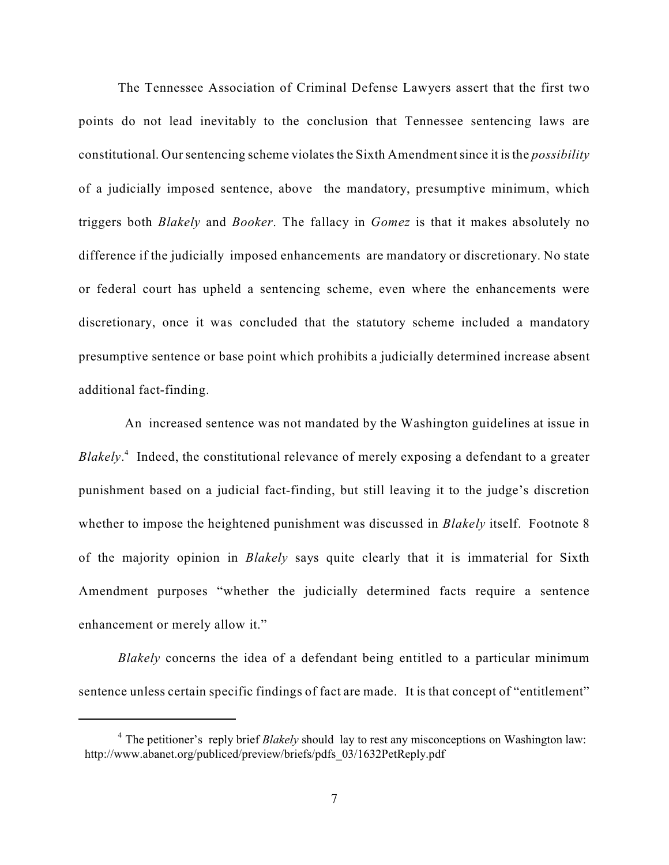The Tennessee Association of Criminal Defense Lawyers assert that the first two points do not lead inevitably to the conclusion that Tennessee sentencing laws are constitutional. Our sentencing scheme violates the Sixth Amendment since it is the *possibility* of a judicially imposed sentence, above the mandatory, presumptive minimum, which triggers both *Blakely* and *Booker*. The fallacy in *Gomez* is that it makes absolutely no difference if the judicially imposed enhancements are mandatory or discretionary. No state or federal court has upheld a sentencing scheme, even where the enhancements were discretionary, once it was concluded that the statutory scheme included a mandatory presumptive sentence or base point which prohibits a judicially determined increase absent additional fact-finding.

 An increased sentence was not mandated by the Washington guidelines at issue in *Blakely*<sup>4</sup>. Indeed, the constitutional relevance of merely exposing a defendant to a greater punishment based on a judicial fact-finding, but still leaving it to the judge's discretion whether to impose the heightened punishment was discussed in *Blakely* itself. Footnote 8 of the majority opinion in *Blakely* says quite clearly that it is immaterial for Sixth Amendment purposes "whether the judicially determined facts require a sentence enhancement or merely allow it."

*Blakely* concerns the idea of a defendant being entitled to a particular minimum sentence unless certain specific findings of fact are made. It is that concept of "entitlement"

<sup>&</sup>lt;sup>4</sup> The petitioner's reply brief *Blakely* should lay to rest any misconceptions on Washington law: http://www.abanet.org/publiced/preview/briefs/pdfs\_03/1632PetReply.pdf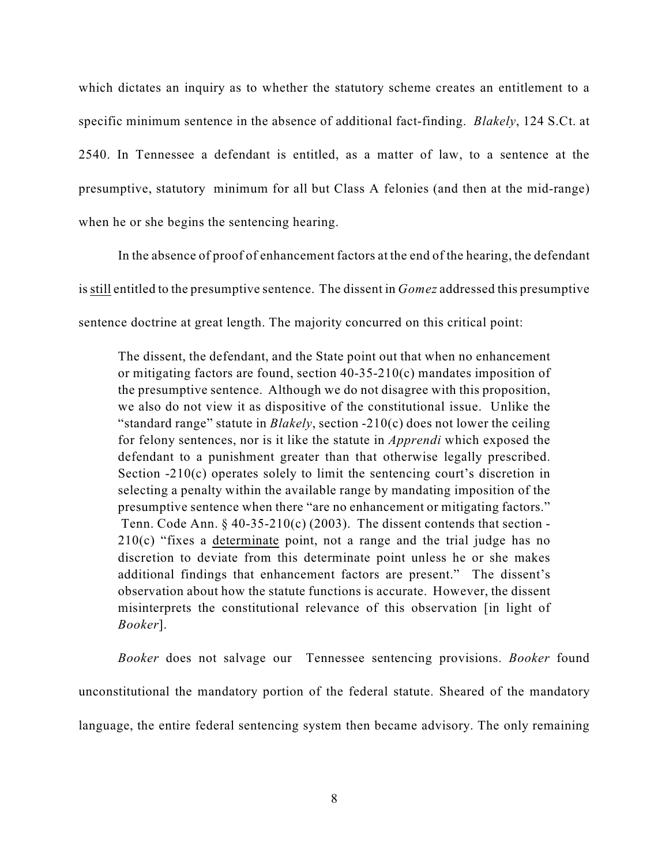which dictates an inquiry as to whether the statutory scheme creates an entitlement to a specific minimum sentence in the absence of additional fact-finding. *Blakely*, 124 S.Ct. at 2540. In Tennessee a defendant is entitled, as a matter of law, to a sentence at the presumptive, statutory minimum for all but Class A felonies (and then at the mid-range) when he or she begins the sentencing hearing.

In the absence of proof of enhancement factors at the end of the hearing, the defendant isstill entitled to the presumptive sentence. The dissent in *Gomez* addressed this presumptive sentence doctrine at great length. The majority concurred on this critical point:

The dissent, the defendant, and the State point out that when no enhancement or mitigating factors are found, section 40-35-210(c) mandates imposition of the presumptive sentence. Although we do not disagree with this proposition, we also do not view it as dispositive of the constitutional issue. Unlike the "standard range" statute in *Blakely*, section -210(c) does not lower the ceiling for felony sentences, nor is it like the statute in *Apprendi* which exposed the defendant to a punishment greater than that otherwise legally prescribed. Section -210(c) operates solely to limit the sentencing court's discretion in selecting a penalty within the available range by mandating imposition of the presumptive sentence when there "are no enhancement or mitigating factors." Tenn. Code Ann.  $\S$  40-35-210(c) (2003). The dissent contends that section -210(c) "fixes a determinate point, not a range and the trial judge has no discretion to deviate from this determinate point unless he or she makes additional findings that enhancement factors are present." The dissent's observation about how the statute functions is accurate. However, the dissent misinterprets the constitutional relevance of this observation [in light of *Booker*].

*Booker* does not salvage our Tennessee sentencing provisions. *Booker* found unconstitutional the mandatory portion of the federal statute. Sheared of the mandatory language, the entire federal sentencing system then became advisory. The only remaining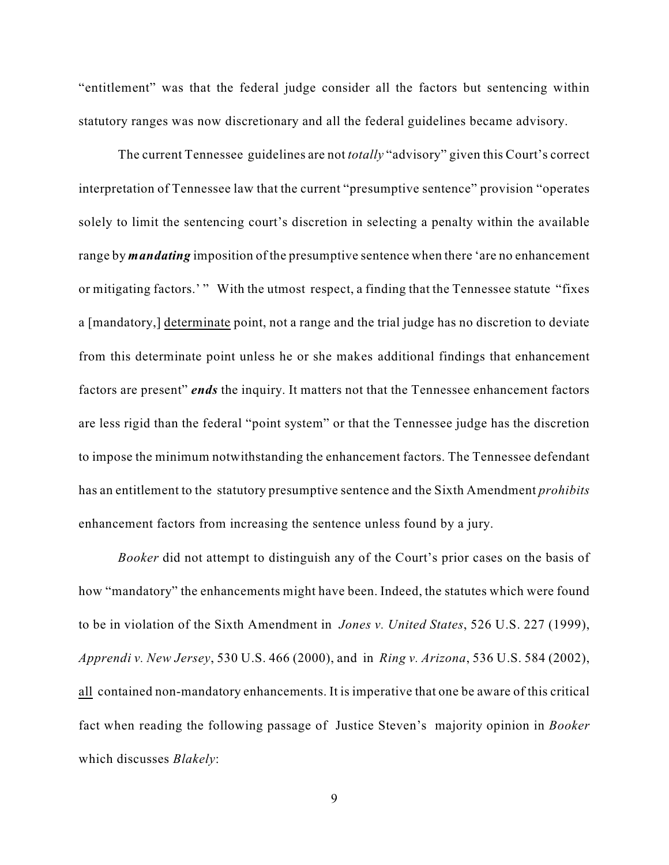"entitlement" was that the federal judge consider all the factors but sentencing within statutory ranges was now discretionary and all the federal guidelines became advisory.

The current Tennessee guidelines are not *totally* "advisory" given this Court's correct interpretation of Tennessee law that the current "presumptive sentence" provision "operates solely to limit the sentencing court's discretion in selecting a penalty within the available range by *mandating* imposition of the presumptive sentence when there 'are no enhancement or mitigating factors.'" With the utmost respect, a finding that the Tennessee statute "fixes a [mandatory,] determinate point, not a range and the trial judge has no discretion to deviate from this determinate point unless he or she makes additional findings that enhancement factors are present" *ends* the inquiry. It matters not that the Tennessee enhancement factors are less rigid than the federal "point system" or that the Tennessee judge has the discretion to impose the minimum notwithstanding the enhancement factors. The Tennessee defendant has an entitlement to the statutory presumptive sentence and the Sixth Amendment *prohibits* enhancement factors from increasing the sentence unless found by a jury.

*Booker* did not attempt to distinguish any of the Court's prior cases on the basis of how "mandatory" the enhancements might have been. Indeed, the statutes which were found to be in violation of the Sixth Amendment in *Jones v. United States*, 526 U.S. 227 (1999), *Apprendi v. New Jersey*, 530 U.S. 466 (2000), and in *Ring v. Arizona*, 536 U.S. 584 (2002), all contained non-mandatory enhancements. It is imperative that one be aware of this critical fact when reading the following passage of Justice Steven's majority opinion in *Booker* which discusses *Blakely*: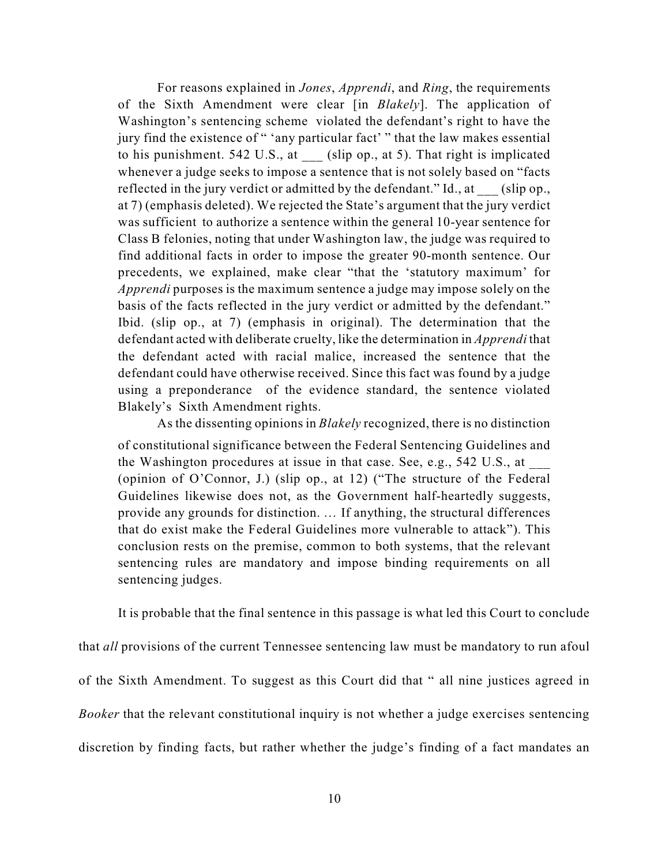For reasons explained in *Jones*, *Apprendi*, and *Ring*, the requirements of the Sixth Amendment were clear [in *Blakely*]. The application of Washington's sentencing scheme violated the defendant's right to have the jury find the existence of " 'any particular fact' " that the law makes essential to his punishment. 542 U.S., at \_\_\_ (slip op., at 5). That right is implicated whenever a judge seeks to impose a sentence that is not solely based on "facts reflected in the jury verdict or admitted by the defendant." Id., at (slip op., at 7) (emphasis deleted). We rejected the State's argument that the jury verdict was sufficient to authorize a sentence within the general 10-year sentence for Class B felonies, noting that under Washington law, the judge was required to find additional facts in order to impose the greater 90-month sentence. Our precedents, we explained, make clear "that the 'statutory maximum' for *Apprendi* purposes is the maximum sentence a judge may impose solely on the basis of the facts reflected in the jury verdict or admitted by the defendant." Ibid. (slip op., at 7) (emphasis in original). The determination that the defendant acted with deliberate cruelty, like the determination in *Apprendi* that the defendant acted with racial malice, increased the sentence that the defendant could have otherwise received. Since this fact was found by a judge using a preponderance of the evidence standard, the sentence violated Blakely's Sixth Amendment rights.

As the dissenting opinions in *Blakely* recognized, there is no distinction of constitutional significance between the Federal Sentencing Guidelines and the Washington procedures at issue in that case. See, e.g.,  $542$  U.S., at (opinion of O'Connor, J.) (slip op., at 12) ("The structure of the Federal Guidelines likewise does not, as the Government half-heartedly suggests, provide any grounds for distinction. … If anything, the structural differences that do exist make the Federal Guidelines more vulnerable to attack"). This conclusion rests on the premise, common to both systems, that the relevant sentencing rules are mandatory and impose binding requirements on all sentencing judges.

It is probable that the final sentence in this passage is what led this Court to conclude

that *all* provisions of the current Tennessee sentencing law must be mandatory to run afoul of the Sixth Amendment. To suggest as this Court did that " all nine justices agreed in *Booker* that the relevant constitutional inquiry is not whether a judge exercises sentencing discretion by finding facts, but rather whether the judge's finding of a fact mandates an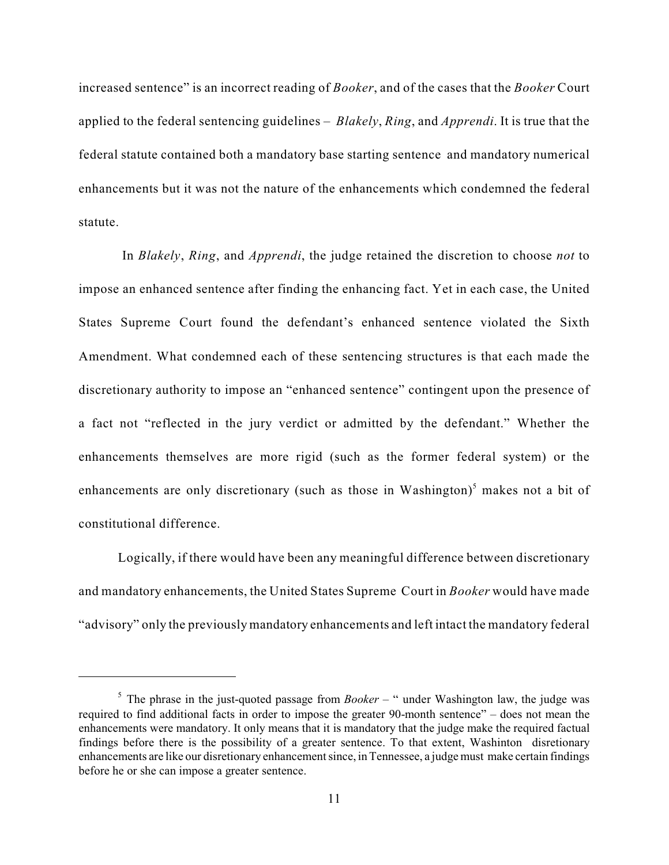increased sentence" is an incorrect reading of *Booker*, and of the cases that the *Booker* Court applied to the federal sentencing guidelines – *Blakely*, *Ring*, and *Apprendi*. It is true that the federal statute contained both a mandatory base starting sentence and mandatory numerical enhancements but it was not the nature of the enhancements which condemned the federal statute.

 In *Blakely*, *Ring*, and *Apprendi*, the judge retained the discretion to choose *not* to impose an enhanced sentence after finding the enhancing fact. Yet in each case, the United States Supreme Court found the defendant's enhanced sentence violated the Sixth Amendment. What condemned each of these sentencing structures is that each made the discretionary authority to impose an "enhanced sentence" contingent upon the presence of a fact not "reflected in the jury verdict or admitted by the defendant." Whether the enhancements themselves are more rigid (such as the former federal system) or the enhancements are only discretionary (such as those in Washington) $<sup>5</sup>$  makes not a bit of</sup> constitutional difference.

Logically, if there would have been any meaningful difference between discretionary and mandatory enhancements, the United States Supreme Court in *Booker* would have made "advisory" only the previously mandatory enhancements and left intact the mandatory federal

 $5$  The phrase in the just-quoted passage from *Booker* – " under Washington law, the judge was required to find additional facts in order to impose the greater 90-month sentence" – does not mean the enhancements were mandatory. It only means that it is mandatory that the judge make the required factual findings before there is the possibility of a greater sentence. To that extent, Washinton disretionary enhancements are like our disretionary enhancement since, in Tennessee, a judge must make certain findings before he or she can impose a greater sentence.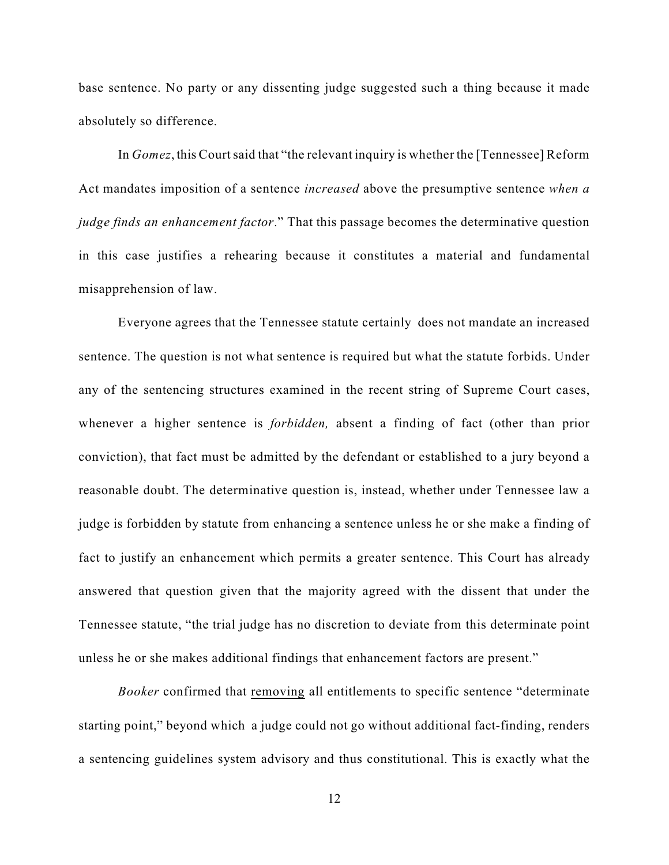base sentence. No party or any dissenting judge suggested such a thing because it made absolutely so difference.

In *Gomez*, this Court said that "the relevant inquiry is whether the [Tennessee] Reform Act mandates imposition of a sentence *increased* above the presumptive sentence *when a judge finds an enhancement factor*." That this passage becomes the determinative question in this case justifies a rehearing because it constitutes a material and fundamental misapprehension of law.

Everyone agrees that the Tennessee statute certainly does not mandate an increased sentence. The question is not what sentence is required but what the statute forbids. Under any of the sentencing structures examined in the recent string of Supreme Court cases, whenever a higher sentence is *forbidden,* absent a finding of fact (other than prior conviction), that fact must be admitted by the defendant or established to a jury beyond a reasonable doubt. The determinative question is, instead, whether under Tennessee law a judge is forbidden by statute from enhancing a sentence unless he or she make a finding of fact to justify an enhancement which permits a greater sentence. This Court has already answered that question given that the majority agreed with the dissent that under the Tennessee statute, "the trial judge has no discretion to deviate from this determinate point unless he or she makes additional findings that enhancement factors are present."

*Booker* confirmed that removing all entitlements to specific sentence "determinate starting point," beyond which a judge could not go without additional fact-finding, renders a sentencing guidelines system advisory and thus constitutional. This is exactly what the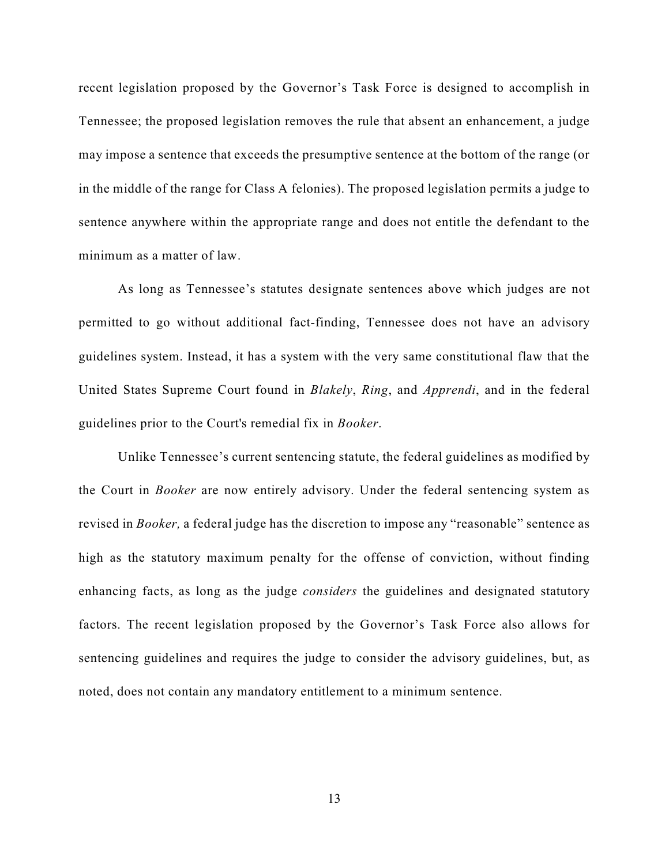recent legislation proposed by the Governor's Task Force is designed to accomplish in Tennessee; the proposed legislation removes the rule that absent an enhancement, a judge may impose a sentence that exceeds the presumptive sentence at the bottom of the range (or in the middle of the range for Class A felonies). The proposed legislation permits a judge to sentence anywhere within the appropriate range and does not entitle the defendant to the minimum as a matter of law.

As long as Tennessee's statutes designate sentences above which judges are not permitted to go without additional fact-finding, Tennessee does not have an advisory guidelines system. Instead, it has a system with the very same constitutional flaw that the United States Supreme Court found in *Blakely*, *Ring*, and *Apprendi*, and in the federal guidelines prior to the Court's remedial fix in *Booker*.

Unlike Tennessee's current sentencing statute, the federal guidelines as modified by the Court in *Booker* are now entirely advisory. Under the federal sentencing system as revised in *Booker,* a federal judge has the discretion to impose any "reasonable" sentence as high as the statutory maximum penalty for the offense of conviction, without finding enhancing facts, as long as the judge *considers* the guidelines and designated statutory factors. The recent legislation proposed by the Governor's Task Force also allows for sentencing guidelines and requires the judge to consider the advisory guidelines, but, as noted, does not contain any mandatory entitlement to a minimum sentence.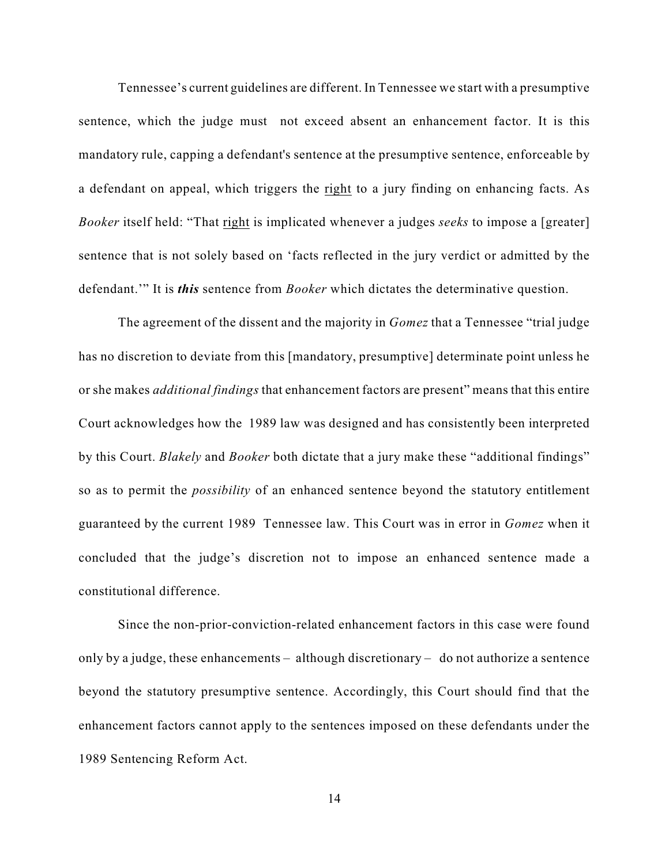Tennessee's current guidelines are different. In Tennessee we start with a presumptive sentence, which the judge must not exceed absent an enhancement factor. It is this mandatory rule, capping a defendant's sentence at the presumptive sentence, enforceable by a defendant on appeal, which triggers the right to a jury finding on enhancing facts. As *Booker* itself held: "That right is implicated whenever a judges *seeks* to impose a [greater] sentence that is not solely based on 'facts reflected in the jury verdict or admitted by the defendant.'" It is *this* sentence from *Booker* which dictates the determinative question.

The agreement of the dissent and the majority in *Gomez* that a Tennessee "trial judge has no discretion to deviate from this [mandatory, presumptive] determinate point unless he or she makes *additional findings* that enhancement factors are present" means that this entire Court acknowledges how the 1989 law was designed and has consistently been interpreted by this Court. *Blakely* and *Booker* both dictate that a jury make these "additional findings" so as to permit the *possibility* of an enhanced sentence beyond the statutory entitlement guaranteed by the current 1989 Tennessee law. This Court was in error in *Gomez* when it concluded that the judge's discretion not to impose an enhanced sentence made a constitutional difference.

Since the non-prior-conviction-related enhancement factors in this case were found only by a judge, these enhancements – although discretionary – do not authorize a sentence beyond the statutory presumptive sentence. Accordingly, this Court should find that the enhancement factors cannot apply to the sentences imposed on these defendants under the 1989 Sentencing Reform Act.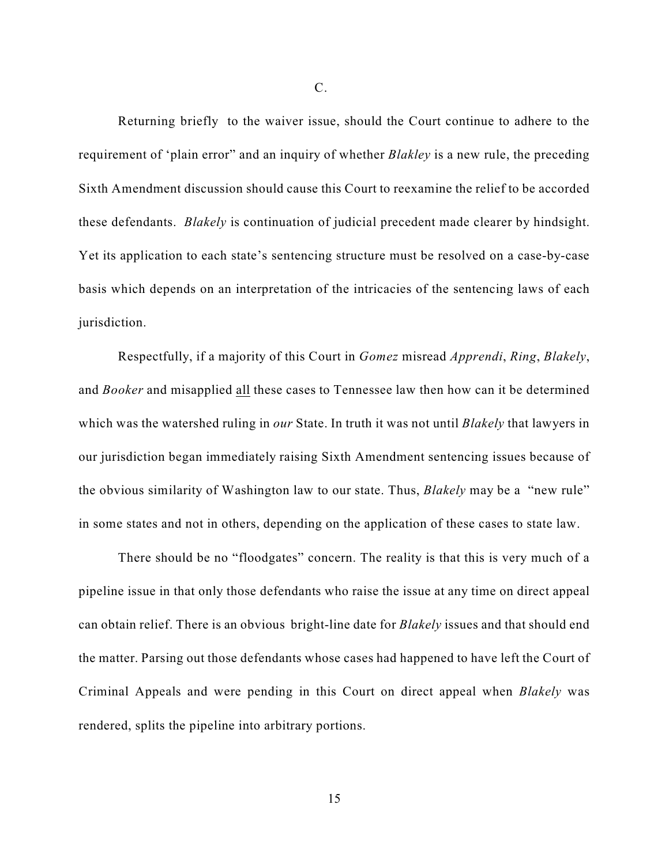Returning briefly to the waiver issue, should the Court continue to adhere to the requirement of 'plain error" and an inquiry of whether *Blakley* is a new rule, the preceding Sixth Amendment discussion should cause this Court to reexamine the relief to be accorded these defendants. *Blakely* is continuation of judicial precedent made clearer by hindsight. Yet its application to each state's sentencing structure must be resolved on a case-by-case basis which depends on an interpretation of the intricacies of the sentencing laws of each jurisdiction.

Respectfully, if a majority of this Court in *Gomez* misread *Apprendi*, *Ring*, *Blakely*, and *Booker* and misapplied all these cases to Tennessee law then how can it be determined which was the watershed ruling in *our* State. In truth it was not until *Blakely* that lawyers in our jurisdiction began immediately raising Sixth Amendment sentencing issues because of the obvious similarity of Washington law to our state. Thus, *Blakely* may be a "new rule" in some states and not in others, depending on the application of these cases to state law.

There should be no "floodgates" concern. The reality is that this is very much of a pipeline issue in that only those defendants who raise the issue at any time on direct appeal can obtain relief. There is an obvious bright-line date for *Blakely* issues and that should end the matter. Parsing out those defendants whose cases had happened to have left the Court of Criminal Appeals and were pending in this Court on direct appeal when *Blakely* was rendered, splits the pipeline into arbitrary portions.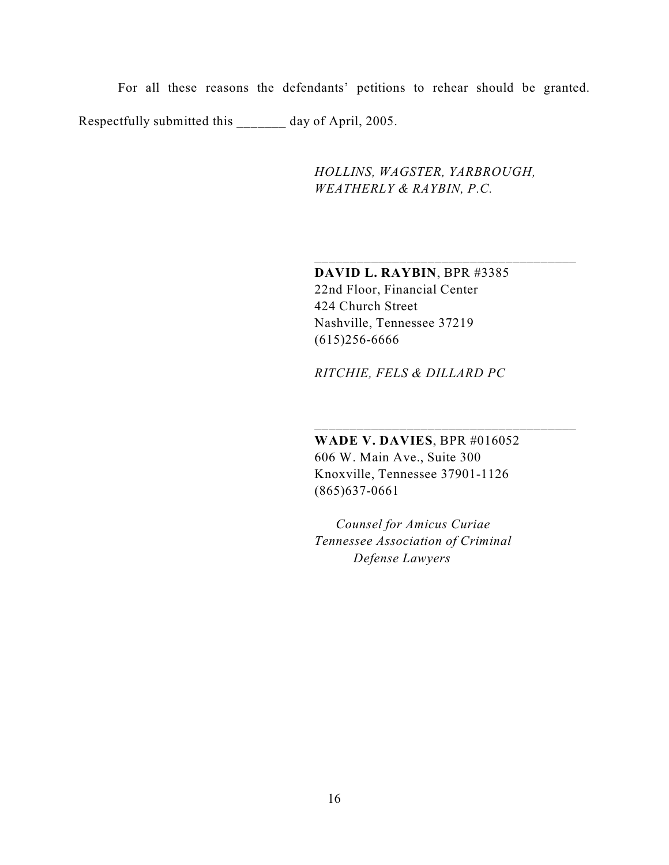For all these reasons the defendants' petitions to rehear should be granted. Respectfully submitted this day of April, 2005.

> *HOLLINS, WAGSTER, YARBROUGH, WEATHERLY & RAYBIN, P.C.*

\_\_\_\_\_\_\_\_\_\_\_\_\_\_\_\_\_\_\_\_\_\_\_\_\_\_\_\_\_\_\_\_\_\_\_\_\_

\_\_\_\_\_\_\_\_\_\_\_\_\_\_\_\_\_\_\_\_\_\_\_\_\_\_\_\_\_\_\_\_\_\_\_\_\_

**DAVID L. RAYBIN**, BPR #3385 22nd Floor, Financial Center 424 Church Street Nashville, Tennessee 37219 (615)256-6666

*RITCHIE, FELS & DILLARD PC*

**WADE V. DAVIES**, BPR #016052 606 W. Main Ave., Suite 300 Knoxville, Tennessee 37901-1126 (865)637-0661

 *Counsel for Amicus Curiae Tennessee Association of Criminal Defense Lawyers*